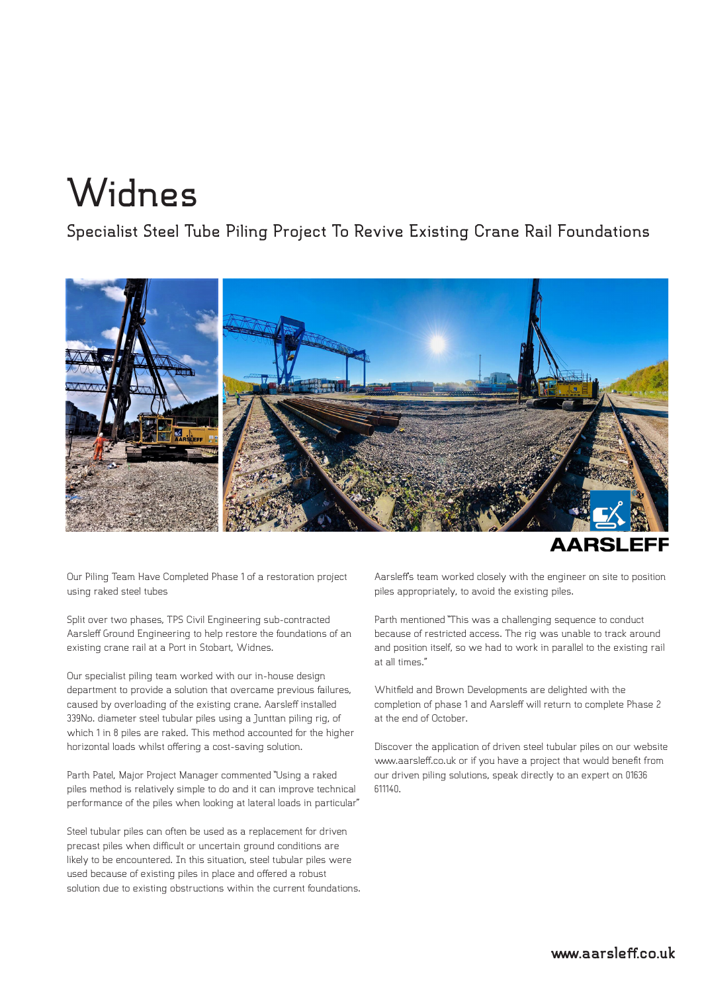## **Widnes**

**Specialist Steel Tube Piling Project To Revive Existing Crane Rail Foundations**



Our Piling Team Have Completed Phase 1 of a restoration project using raked steel tubes

Split over two phases, TPS Civil Engineering sub-contracted Aarsleff Ground Engineering to help restore the foundations of an existing crane rail at a Port in Stobart, Widnes.

Our specialist piling team worked with our in-house design department to provide a solution that overcame previous failures, caused by overloading of the existing crane. Aarsleff installed 339No. diameter steel tubular piles using a Junttan piling rig, of which 1 in 8 piles are raked. This method accounted for the higher horizontal loads whilst offering a cost-saving solution.

Parth Patel, Major Project Manager commented "Using a raked piles method is relatively simple to do and it can improve technical performance of the piles when looking at lateral loads in particular"

Steel tubular piles can often be used as a replacement for driven precast piles when difficult or uncertain ground conditions are likely to be encountered. In this situation, steel tubular piles were used because of existing piles in place and offered a robust solution due to existing obstructions within the current foundations. Aarsleff's team worked closely with the engineer on site to position piles appropriately, to avoid the existing piles.

Parth mentioned "This was a challenging sequence to conduct because of restricted access. The rig was unable to track around and position itself, so we had to work in parallel to the existing rail at all times."

Whitfield and Brown Developments are delighted with the completion of phase 1 and Aarsleff will return to complete Phase 2 at the end of October.

Discover the application of driven steel tubular piles on our website www.aarsleff.co.uk or if you have a project that would benefit from our driven piling solutions, speak directly to an expert on 01636 611140.